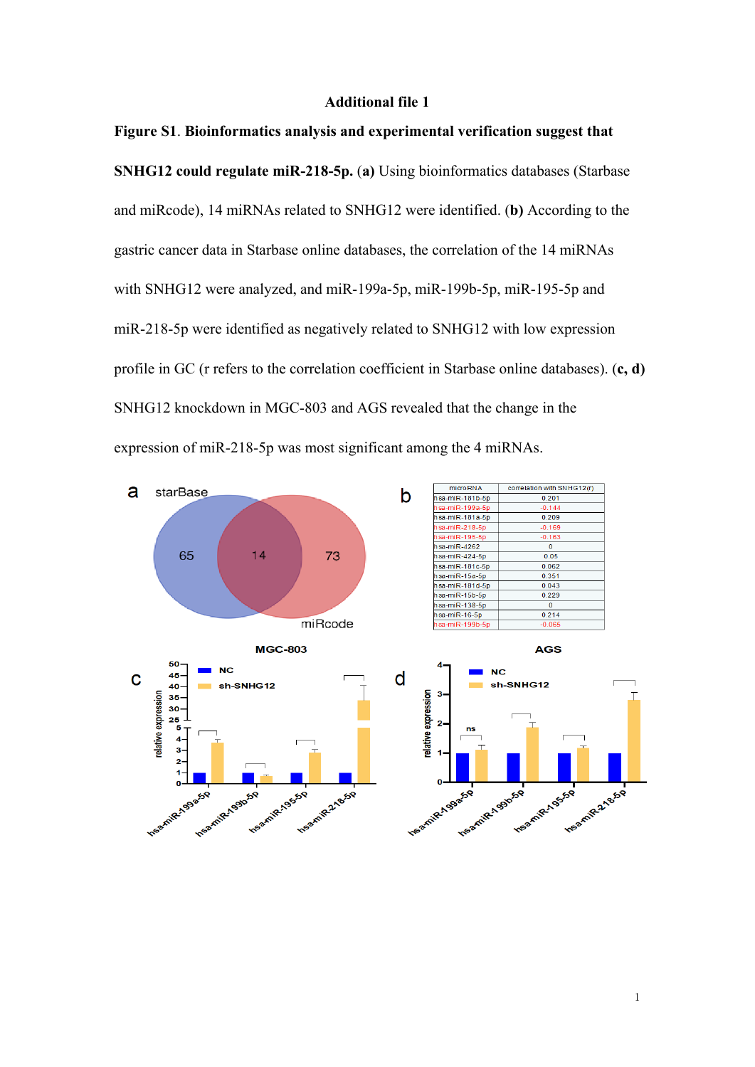## **Additional file 1**

## **Figure S1**. **Bioinformatics analysis and experimental verification suggest that**

**SNHG12 could regulate miR-218-5p.** (**a)** Using bioinformatics databases (Starbase and miRcode), 14 miRNAs related to SNHG12 were identified. (**b)** According to the gastric cancer data in Starbase online databases, the correlation of the 14 miRNAs with SNHG12 were analyzed, and miR-199a-5p, miR-199b-5p, miR-195-5p and miR-218-5p were identified as negatively related to SNHG12 with low expression profile in GC (r refers to the correlation coefficient in Starbase online databases). (**c, d)** SNHG12 knockdown in MGC-803 and AGS revealed that the change in the expression of miR-218-5p was most significant among the 4 miRNAs.